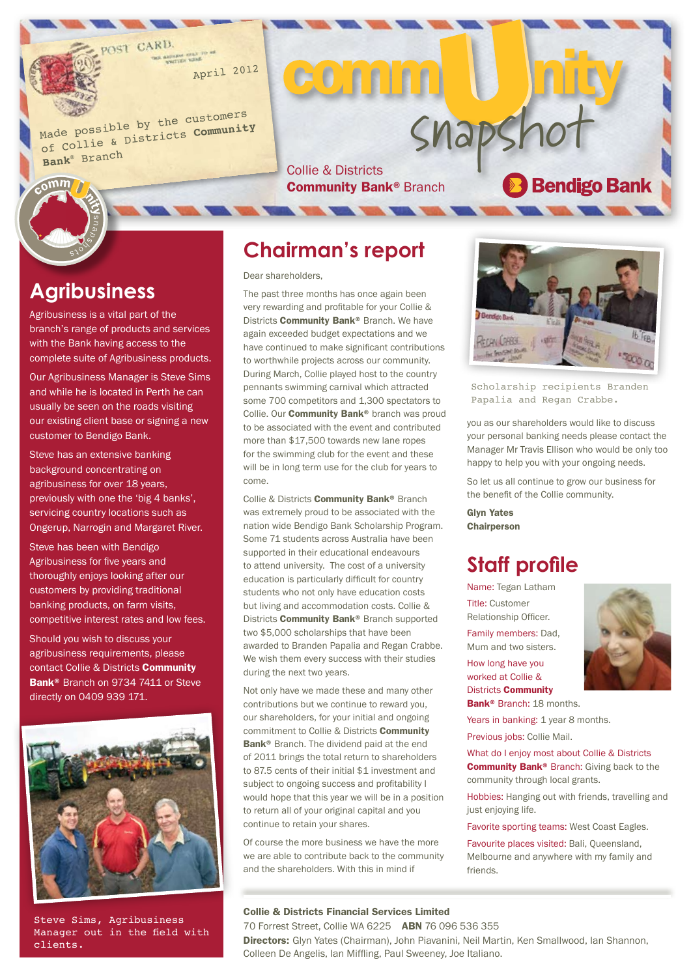April 2012

Made possible by the customers of Collie & Districts **Community Bank**® Branc<sup>h</sup>

**SHAPSHOT**<br>Collie & Districts<br>Community Bank® Branch **Community Bank® Branch** 

CO'n Im

# **Agribusiness**

 $c<sub>o</sub>$ mm

Agribusiness is a vital part of the branch's range of products and services with the Bank having access to the complete suite of Agribusiness products.

Our Agribusiness Manager is Steve Sims and while he is located in Perth he can usually be seen on the roads visiting our existing client base or signing a new customer to Bendigo Bank.

Steve has an extensive banking background concentrating on agribusiness for over 18 years, previously with one the 'big 4 banks', servicing country locations such as Ongerup, Narrogin and Margaret River.

Steve has been with Bendigo Agribusiness for five years and thoroughly enjoys looking after our customers by providing traditional banking products, on farm visits, competitive interest rates and low fees.

Should you wish to discuss your agribusiness requirements, please contact Collie & Districts Community Bank<sup>®</sup> Branch on 9734 7411 or Steve directly on 0409 939 171.



Steve Sims, Agribusiness Manager out in the field with clients.

#### **Chairman's report**

Dear shareholders,

The past three months has once again been very rewarding and profitable for your Collie & Districts **Community Bank®** Branch. We have again exceeded budget expectations and we have continued to make significant contributions to worthwhile projects across our community. During March, Collie played host to the country pennants swimming carnival which attracted some 700 competitors and 1,300 spectators to Collie. Our **Community Bank®** branch was proud to be associated with the event and contributed more than \$17,500 towards new lane ropes for the swimming club for the event and these will be in long term use for the club for years to come.

Collie & Districts Community Bank® Branch was extremely proud to be associated with the nation wide Bendigo Bank Scholarship Program. Some 71 students across Australia have been supported in their educational endeavours to attend university. The cost of a university education is particularly difficult for country students who not only have education costs but living and accommodation costs. Collie & Districts **Community Bank®** Branch supported two \$5,000 scholarships that have been awarded to Branden Papalia and Regan Crabbe. We wish them every success with their studies during the next two years.

Not only have we made these and many other contributions but we continue to reward you, our shareholders, for your initial and ongoing commitment to Collie & Districts **Community** Bank<sup>®</sup> Branch. The dividend paid at the end of 2011 brings the total return to shareholders to 87.5 cents of their initial \$1 investment and subject to ongoing success and profitability I would hope that this year we will be in a position to return all of your original capital and you continue to retain your shares.

Of course the more business we have the more we are able to contribute back to the community and the shareholders. With this in mind if

#### Collie & Districts Financial Services Limited

**LOARS** 

Scholarship recipients Branden Papalia and Regan Crabbe.

you as our shareholders would like to discuss your personal banking needs please contact the Manager Mr Travis Ellison who would be only too happy to help you with your ongoing needs.

So let us all continue to grow our business for the benefit of the Collie community.

Glyn Yates **Chairperson** 

# **Staff profile**

Name: Tegan Latham Title: Customer Relationship Officer. Family members: Dad,

How long have you worked at Collie & Districts Community Bank<sup>®</sup> Branch: 18 months.

Mum and two sisters.

Years in banking: 1 year 8 months.

Previous jobs: Collie Mail.

What do I enjoy most about Collie & Districts Community Bank® Branch: Giving back to the community through local grants.

Hobbies: Hanging out with friends, travelling and just enjoying life.

Favorite sporting teams: West Coast Eagles.

Favourite places visited: Bali, Queensland, Melbourne and anywhere with my family and friends.



70 Forrest Street, Collie WA 6225 ABN 76 096 536 355 Directors: Glyn Yates (Chairman), John Piavanini, Neil Martin, Ken Smallwood, Ian Shannon, Colleen De Angelis, Ian Miffling, Paul Sweeney, Joe Italiano.